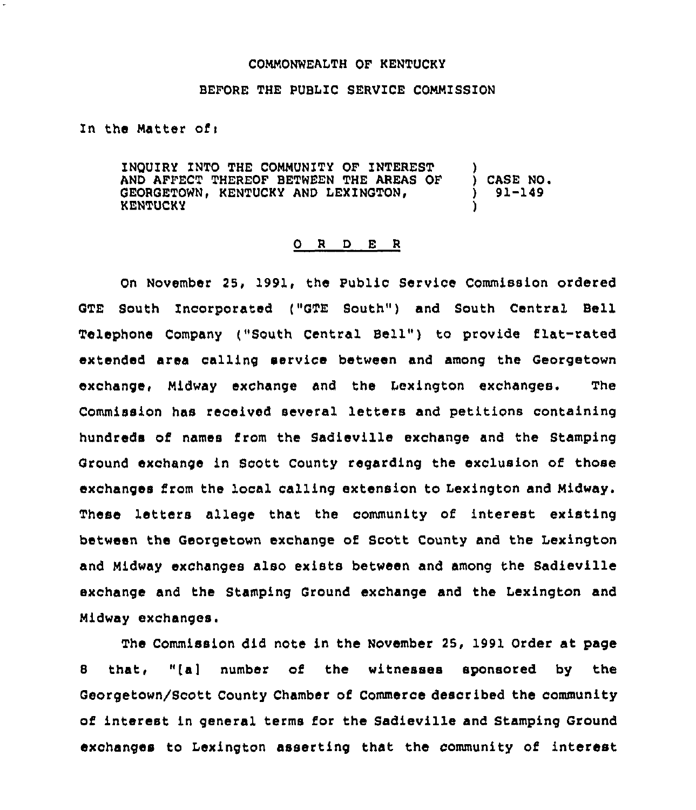## COMMONWEALTH OF KENTUCKY

## BEFORE THE PUBLIC SERVICE COMMISSION

Zn the Matter ofi

INOUIRY INTO THE COMMUNITY OF INTEREST AND AFFECT THEREOF BETWEEN THE AREAS OF GEORGETOWN, KENTUCKY AND LEXINGTON,<br>KENTUCKY ) ) CASE NO <sup>~</sup> ) 91-149 )

## 0 <sup>R</sup> <sup>D</sup> E <sup>R</sup>

On November 29, 1991, the Public Service Commission ordered GTE South Incorporated ("GTE South" ) and South Central Bell Telephone Company ("South Central Bell" ) to provide flat-rated extended area calling service between and among the Georgetown exchange, Midway exchange and the Lexington exchanges. The Commission has received several letters and petitions containing hundreds of names from the Sadieville exchange and the Stamping Ground exchange in Scott, County regarding the exclusion of those exchanges from the local calling extension to Lexington and Midway. These letters allege that the community of interest existing between the Georgetown exchange of Scott County and the Lexington and Midway exchanges also exists between and among the Sadieville exchange and the Stamping Ground exchange and the Lexington and Midway exchanges.

The Commission did note in the NOvember 25, 1991 Order at page <sup>8</sup> that, "[a] number of the witnesses sponsored by the Georgetown/Scott County Chamber of Commerce described the community of interest in general terms for the Sadieville and Stamping Ground exchanges to Lexington asserting that the community of interest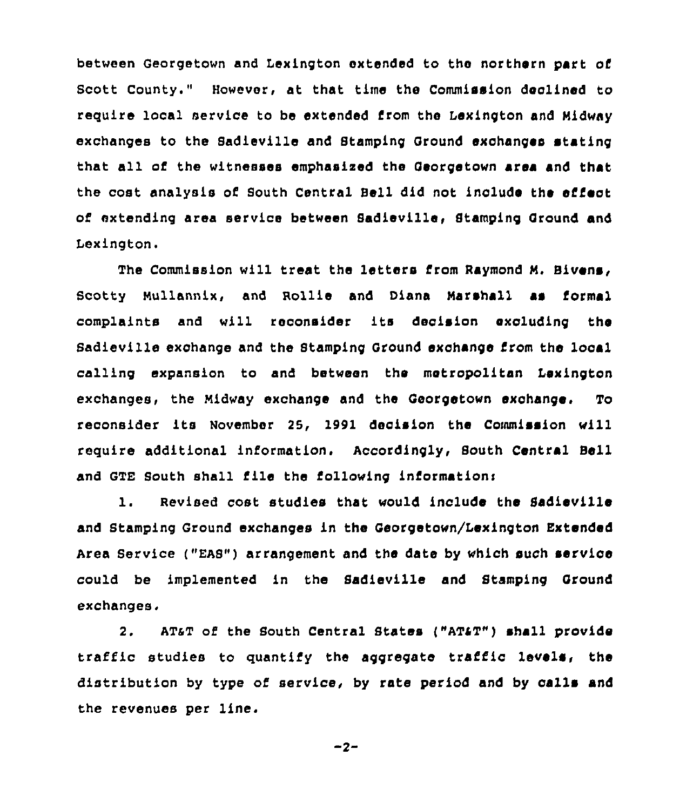between Georgetown and Lexington extended to the northern part of Scott county." However, at that time the Commission declined to require local service to be extended from the Lexington and Midway exchanges to the Sadieville and Btamping Ground exchanges stating that all of the witnesses emphasized the Georgetown area and that the cost analysis of South Central Bell did not include the effect of extending area service between Sadieville, Stamping Ground and Lexington.

The Commission will treat the letters from Raymond M, Bivens, Scotty Nullannix, and Rollie and Diana Marshall as formal complaints and will reconsider its decision excluding the Sadieville exchange and the Stamping Ground exchange from the local calling expansion to and between the metropolitan Lexington exchanges, the Midway exchange and the Georgetown exchange. To reconsider its November 25, 1991 decision the Commission will require additional information. Accordingly, South Central Bell and GTE South shall file the following informationi

1. Revised cost studies that would include the Sadieville and Stamping Ground exchanges in the Georgetown/Lexington Extended Area Service ("EAS") arrangement and the date by which such service could be implemented in the Sadieville and Stamping Ground exchanges,

2. AT&T of the South Central States ("AT&T") shall provide traffic studies to quantify the aggregate traffic levels, the distribution by type of service, by rate period and by calls and the revenues per line.

$$
-2-
$$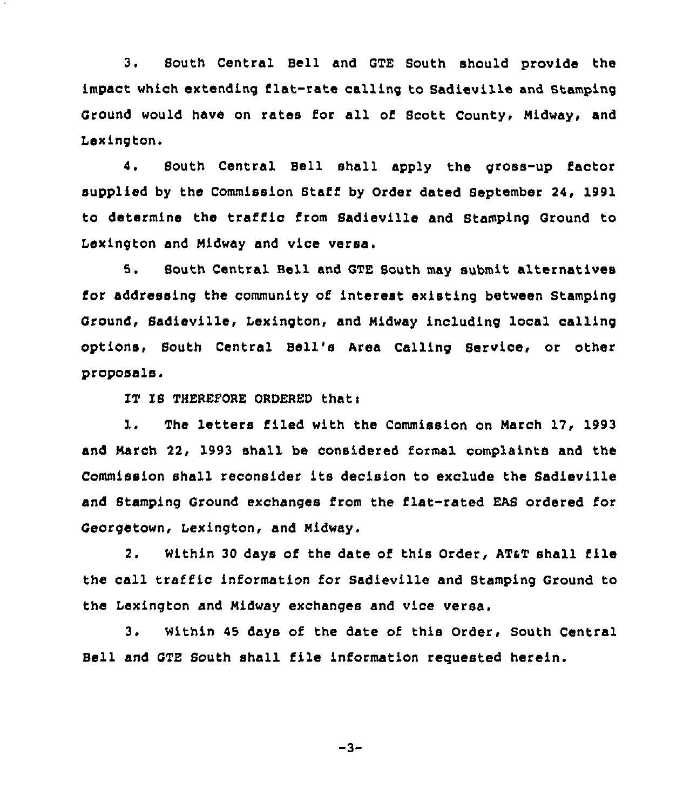3. South Central Bell and GTE South should provide the impact which extending flat-rate calling to Sadieville and stamping Ground would have on rates for all of Scott County, Midway, and Lexington.

4. Bouth Central Bell shall apply the gross-up factor supplied by the Commission Staff by Order dated September 24, 1991 to determine the traffic from Sadieville and Stamping Ground to Lexington and Midway and vice versa.

5. South Central Bell and GTE South may submit alternatives for addressing the community of interest existing between Stamping Ground, Sadieville, Lexington, and Midway including local calling options, South Central Bell's Area Calling Service, or other proposals.

IT IS THEREFORE ORDERED that:

1. The letters filed with the Commission on March 17, 1993 and March 22, 1993 shall be considered formal complaints and the Commission shall reconsider its decision to exclude the Sadieville and Stamping Ground exchanges from the flat-rated EAS ordered for Georgetown, Lexington, and Midway.

2. Within 30 days of the date of this Order, AT&T shall file the call traffic information for Sadieville and Stamping Ground to the Lexington and Midway exchanges and vice versa.

3. Within <sup>45</sup> days of the date of this Order, South Central Bell and GTE South shall file information requested herein.

$$
-3-
$$